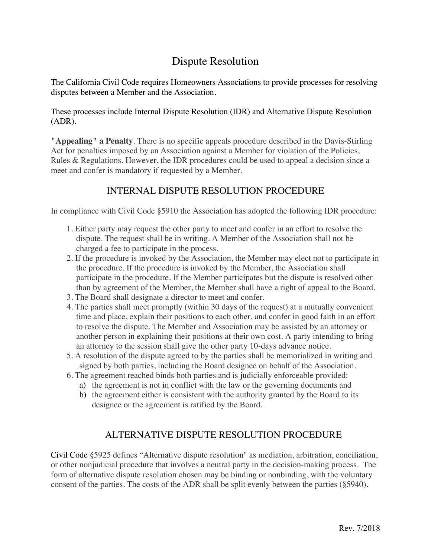## Dispute Resolution

The California Civil Code requires Homeowners Associations to provide processes for resolving disputes between a Member and the Association.

These processes include Internal Dispute Resolution (IDR) and Alternative Dispute Resolution (ADR).

**"Appealing" a Penalty**. There is no specific appeals procedure described in the Davis-Stirling Act for penalties imposed by an Association against a Member for violation of the Policies, Rules & Regulations. However, the IDR procedures could be used to appeal a decision since a meet and confer is mandatory if requested by a Member.

## INTERNAL DISPUTE RESOLUTION PROCEDURE

In compliance with Civil Code §5910 the Association has adopted the following IDR procedure:

- 1. Either party may request the other party to meet and confer in an effort to resolve the dispute. The request shall be in writing. A Member of the Association shall not be charged a fee to participate in the process.
- 2. If the procedure is invoked by the Association, the Member may elect not to participate in the procedure. If the procedure is invoked by the Member, the Association shall participate in the procedure. If the Member participates but the dispute is resolved other than by agreement of the Member, the Member shall have a right of appeal to the Board.
- 3. The Board shall designate a director to meet and confer.
- 4. The parties shall meet promptly (within 30 days of the request) at a mutually convenient time and place, explain their positions to each other, and confer in good faith in an effort to resolve the dispute. The Member and Association may be assisted by an attorney or another person in explaining their positions at their own cost. A party intending to bring an attorney to the session shall give the other party 10-days advance notice.
- 5. A resolution of the dispute agreed to by the parties shall be memorialized in writing and signed by both parties, including the Board designee on behalf of the Association.
- 6. The agreement reached binds both parties and is judicially enforceable provided:
	- a) the agreement is not in conflict with the law or the governing documents and
	- b) the agreement either is consistent with the authority granted by the Board to its designee or the agreement is ratified by the Board.

## ALTERNATIVE DISPUTE RESOLUTION PROCEDURE

Civil Code §5925 defines "Alternative dispute resolution" as mediation, arbitration, conciliation, or other nonjudicial procedure that involves a neutral party in the decision-making process. The form of alternative dispute resolution chosen may be binding or nonbinding, with the voluntary consent of the parties. The costs of the ADR shall be split evenly between the parties (§5940).